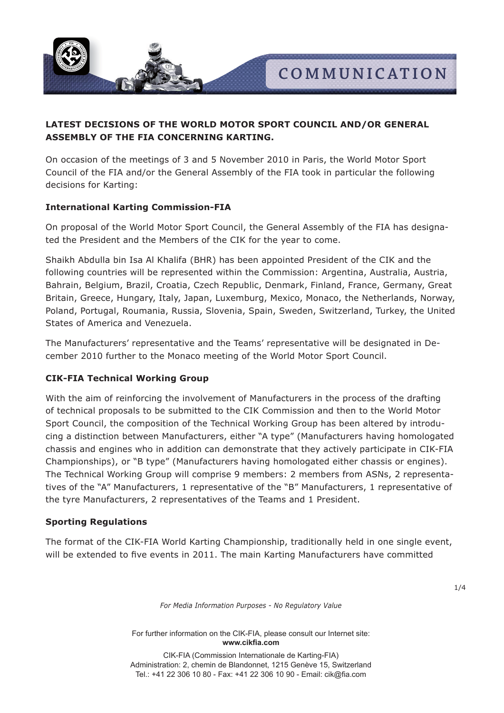

# **LATEST DECISIONS OF THE WORLD MOTOR SPORT COUNCIL AND/OR GENERAL ASSEMBLY OF THE FIA CONCERNING KARTING.**

On occasion of the meetings of 3 and 5 November 2010 in Paris, the World Motor Sport Council of the FIA and/or the General Assembly of the FIA took in particular the following decisions for Karting:

# **International Karting Commission-FIA**

On proposal of the World Motor Sport Council, the General Assembly of the FIA has designated the President and the Members of the CIK for the year to come.

Shaikh Abdulla bin Isa Al Khalifa (BHR) has been appointed President of the CIK and the following countries will be represented within the Commission: Argentina, Australia, Austria, Bahrain, Belgium, Brazil, Croatia, Czech Republic, Denmark, Finland, France, Germany, Great Britain, Greece, Hungary, Italy, Japan, Luxemburg, Mexico, Monaco, the Netherlands, Norway, Poland, Portugal, Roumania, Russia, Slovenia, Spain, Sweden, Switzerland, Turkey, the United States of America and Venezuela.

The Manufacturers' representative and the Teams' representative will be designated in December 2010 further to the Monaco meeting of the World Motor Sport Council.

# **CIK-FIA Technical Working Group**

With the aim of reinforcing the involvement of Manufacturers in the process of the drafting of technical proposals to be submitted to the CIK Commission and then to the World Motor Sport Council, the composition of the Technical Working Group has been altered by introducing a distinction between Manufacturers, either "A type" (Manufacturers having homologated chassis and engines who in addition can demonstrate that they actively participate in CIK-FIA Championships), or "B type" (Manufacturers having homologated either chassis or engines). The Technical Working Group will comprise 9 members: 2 members from ASNs, 2 representatives of the "A" Manufacturers, 1 representative of the "B" Manufacturers, 1 representative of the tyre Manufacturers, 2 representatives of the Teams and 1 President.

# **Sporting Regulations**

The format of the CIK-FIA World Karting Championship, traditionally held in one single event, will be extended to five events in 2011. The main Karting Manufacturers have committed

1/4

*For Media Information Purposes - No Regulatory Value*

For further information on the CIK-FIA, please consult our Internet site: www.cikfia.com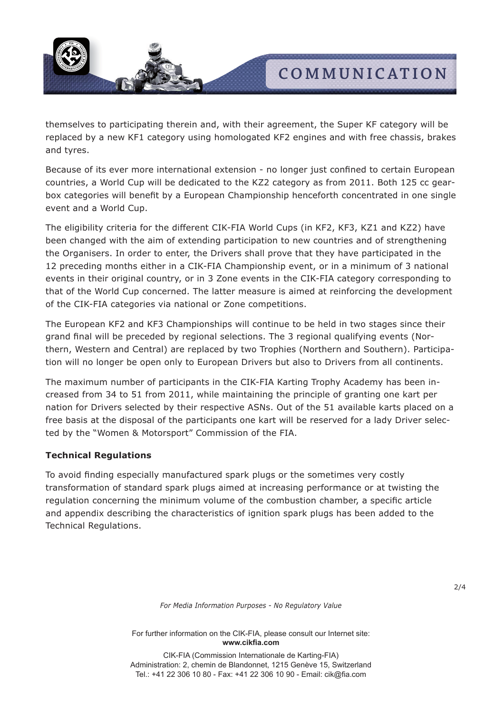

themselves to participating therein and, with their agreement, the Super KF category will be replaced by a new KF1 category using homologated KF2 engines and with free chassis, brakes and tyres.

Because of its ever more international extension - no longer just confined to certain European countries, a World Cup will be dedicated to the KZ2 category as from 2011. Both 125 cc gearbox categories will benefit by a European Championship henceforth concentrated in one single event and a World Cup.

The eligibility criteria for the different CIK-FIA World Cups (in KF2, KF3, KZ1 and KZ2) have been changed with the aim of extending participation to new countries and of strengthening the Organisers. In order to enter, the Drivers shall prove that they have participated in the 12 preceding months either in a CIK-FIA Championship event, or in a minimum of 3 national events in their original country, or in 3 Zone events in the CIK-FIA category corresponding to that of the World Cup concerned. The latter measure is aimed at reinforcing the development of the CIK-FIA categories via national or Zone competitions.

The European KF2 and KF3 Championships will continue to be held in two stages since their grand final will be preceded by regional selections. The 3 regional qualifying events (Northern, Western and Central) are replaced by two Trophies (Northern and Southern). Participation will no longer be open only to European Drivers but also to Drivers from all continents.

The maximum number of participants in the CIK-FIA Karting Trophy Academy has been increased from 34 to 51 from 2011, while maintaining the principle of granting one kart per nation for Drivers selected by their respective ASNs. Out of the 51 available karts placed on a free basis at the disposal of the participants one kart will be reserved for a lady Driver selected by the "Women & Motorsport" Commission of the FIA.

# **Technical Regulations**

To avoid finding especially manufactured spark plugs or the sometimes very costly transformation of standard spark plugs aimed at increasing performance or at twisting the regulation concerning the minimum volume of the combustion chamber, a specific article and appendix describing the characteristics of ignition spark plugs has been added to the Technical Regulations.

*For Media Information Purposes - No Regulatory Value*

For further information on the CIK-FIA, please consult our Internet site: www.cikfia.com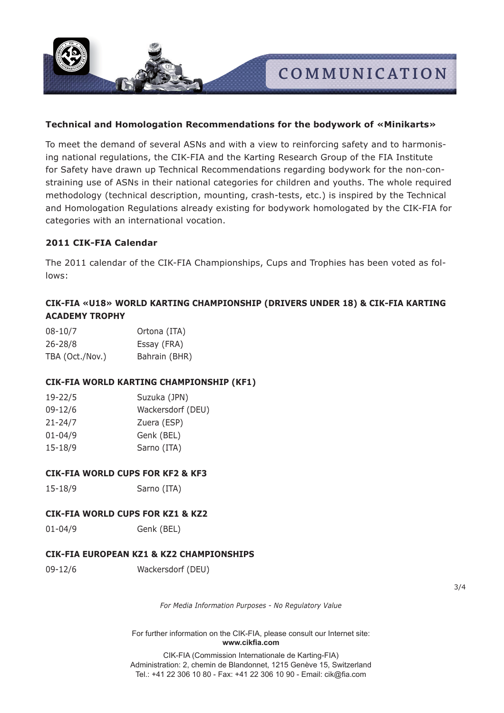

# **Technical and Homologation Recommendations for the bodywork of «Minikarts»**

To meet the demand of several ASNs and with a view to reinforcing safety and to harmonising national regulations, the CIK-FIA and the Karting Research Group of the FIA Institute for Safety have drawn up Technical Recommendations regarding bodywork for the non-constraining use of ASNs in their national categories for children and youths. The whole required methodology (technical description, mounting, crash-tests, etc.) is inspired by the Technical and Homologation Regulations already existing for bodywork homologated by the CIK-FIA for categories with an international vocation.

# **2011 CIK-FIA Calendar**

The 2011 calendar of the CIK-FIA Championships, Cups and Trophies has been voted as follows:

# **CIK-FIA «U18» WORLD KARTING CHAMPIONSHIP (DRIVERS UNDER 18) & CIK-FIA KARTING ACADEMY TROPHY**

| $08 - 10/7$     | Ortona (ITA)  |
|-----------------|---------------|
| 26-28/8         | Essay (FRA)   |
| TBA (Oct./Nov.) | Bahrain (BHR) |

#### **CIK-FIA WORLD KARTING CHAMPIONSHIP (KF1)**

| 19-22/5     | Suzuka (JPN)      |
|-------------|-------------------|
| 09-12/6     | Wackersdorf (DEU) |
| $21 - 24/7$ | Zuera (ESP)       |
| $01 - 04/9$ | Genk (BEL)        |
| $15 - 18/9$ | Sarno (ITA)       |
|             |                   |

#### **CIK-FIA WORLD CUPS FOR KF2 & KF3**

15-18/9 Sarno (ITA)

### **CIK-FIA WORLD CUPS FOR KZ1 & KZ2**

01-04/9 Genk (BEL)

## **CIK-FIA EUROPEAN KZ1 & KZ2 CHAMPIONSHIPS**

09-12/6 Wackersdorf (DEU)

3/4

*For Media Information Purposes - No Regulatory Value*

For further information on the CIK-FIA, please consult our Internet site: www.cikfia.com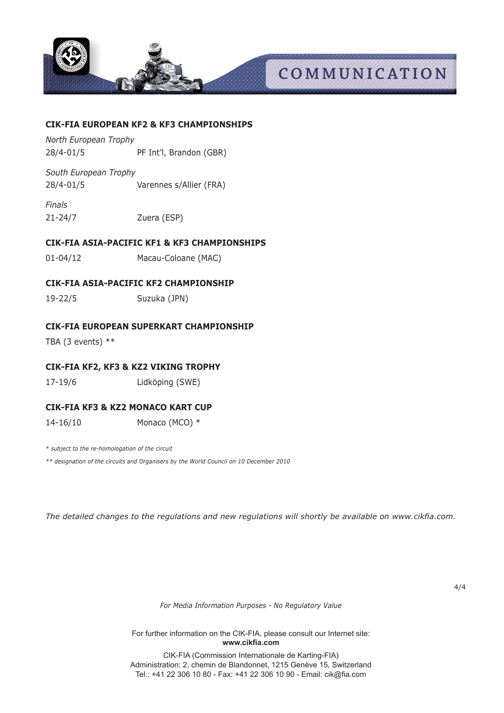

# **COMMUNICATION**

## **CIK-FIA EUROPEAN KF2 & KF3 CHAMPIONSHIPS**

*North European Trophy* 28/4-01/5 PF Int'l, Brandon (GBR)

*South European Trophy* 28/4-01/5 Varennes s/Allier (FRA)

*Finals* 21-24/7 Zuera (ESP)

# **CIK-FIA ASIA-PACIFIC KF1 & KF3 CHAMPIONSHIPS**

01-04/12 Macau-Coloane (MAC)

# **CIK-FIA ASIA-PACIFIC KF2 CHAMPIONSHIP**

19-22/5 Suzuka (JPN)

# **CIK-FIA EUROPEAN SUPERKART CHAMPIONSHIP**

TBA (3 events)  $**$ 

# **CIK-FIA KF2, KF3 & KZ2 VIKING TROPHY**

17-19/6 Lidköping (SWE)

# **CIK-FIA KF3 & KZ2 MONACO KART CUP**

14-16/10 Monaco (MCO) \*

*\* subject to the re-homologation of the circuit*

*\*\* designation of the circuits and Organisers by the World Council on 10 December 2010*

The detailed changes to the regulations and new regulations will shortly be available on www.cikfia.com.

4/4

*For Media Information Purposes - No Regulatory Value*

For further information on the CIK-FIA, please consult our Internet site: www.cikfia.com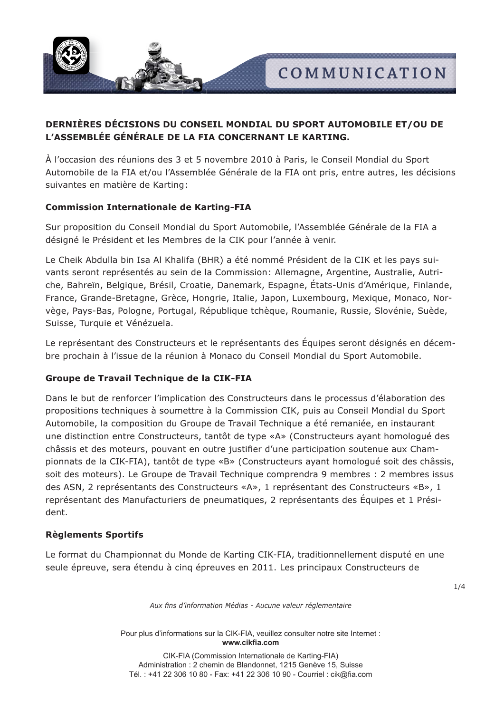

# **DERNIÈRES DÉCISIONS DU CONSEIL MONDIAL DU SPORT AUTOMOBILE ET/OU DE L'ASSEMBLéE GéNéRALE DE LA FIA CONCERNANT LE KARTING.**

À l'occasion des réunions des 3 et 5 novembre 2010 à Paris, le Conseil Mondial du Sport Automobile de la FIA et/ou l'Assemblée Générale de la FIA ont pris, entre autres, les décisions suivantes en matière de Karting:

# **Commission Internationale de Karting-FIA**

Sur proposition du Conseil Mondial du Sport Automobile, l'Assemblée Générale de la FIA a désigné le Président et les Membres de la CIK pour l'année à venir.

Le Cheik Abdulla bin Isa Al Khalifa (BHR) a été nommé Président de la CIK et les pays suivants seront représentés au sein de la Commission: Allemagne, Argentine, Australie, Autriche, Bahreïn, Belgique, Brésil, Croatie, Danemark, Espagne, états-Unis d'Amérique, Finlande, France, Grande-Bretagne, Grèce, Hongrie, Italie, Japon, Luxembourg, Mexique, Monaco, Norvège, Pays-Bas, Pologne, Portugal, République tchèque, Roumanie, Russie, Slovénie, Suède, Suisse, Turquie et Vénézuela.

Le représentant des Constructeurs et le représentants des Équipes seront désignés en décembre prochain à l'issue de la réunion à Monaco du Conseil Mondial du Sport Automobile.

# **Groupe de Travail Technique de la CIK-FIA**

Dans le but de renforcer l'implication des Constructeurs dans le processus d'élaboration des propositions techniques à soumettre à la Commission CIK, puis au Conseil Mondial du Sport Automobile, la composition du Groupe de Travail Technique a été remaniée, en instaurant une distinction entre Constructeurs, tantôt de type «A» (Constructeurs ayant homologué des châssis et des moteurs, pouvant en outre justifier d'une participation soutenue aux Championnats de la CIK-FIA), tantôt de type «B» (Constructeurs ayant homologué soit des châssis, soit des moteurs). Le Groupe de Travail Technique comprendra 9 membres : 2 membres issus des ASN, 2 représentants des Constructeurs «A», 1 représentant des Constructeurs «B», 1 représentant des Manufacturiers de pneumatiques, 2 représentants des Équipes et 1 Président.

# **Règlements Sportifs**

Le format du Championnat du Monde de Karting CIK-FIA, traditionnellement disputé en une seule épreuve, sera étendu à cinq épreuves en 2011. Les principaux Constructeurs de

1/4

*Aux fins d'information Médias - Aucune valeur réglementaire*

Pour plus d'informations sur la CIK-FIA, veuillez consulter notre site Internet : **www.cikfia.com**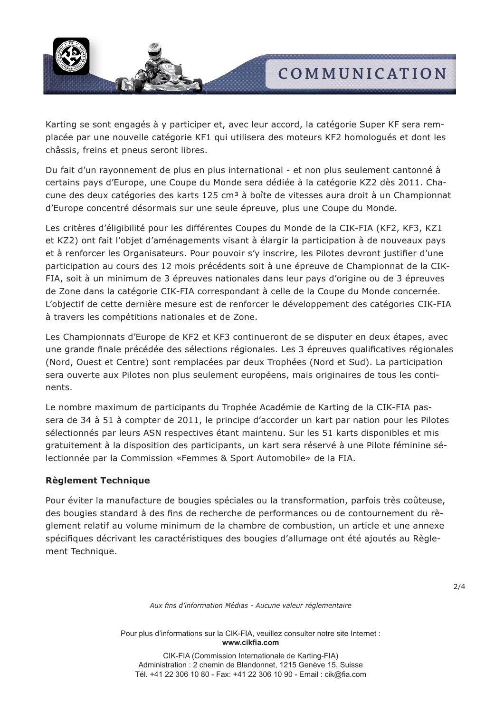

Karting se sont engagés à y participer et, avec leur accord, la catégorie Super KF sera remplacée par une nouvelle catégorie KF1 qui utilisera des moteurs KF2 homologués et dont les châssis, freins et pneus seront libres.

Du fait d'un rayonnement de plus en plus international - et non plus seulement cantonné à certains pays d'Europe, une Coupe du Monde sera dédiée à la catégorie KZ2 dès 2011. Chacune des deux catégories des karts 125 cm<sup>3</sup> à boîte de vitesses aura droit à un Championnat d'Europe concentré désormais sur une seule épreuve, plus une Coupe du Monde.

Les critères d'éligibilité pour les différentes Coupes du Monde de la CIK-FIA (KF2, KF3, KZ1 et KZ2) ont fait l'objet d'aménagements visant à élargir la participation à de nouveaux pays et à renforcer les Organisateurs. Pour pouvoir s'y inscrire, les Pilotes devront justifier d'une participation au cours des 12 mois précédents soit à une épreuve de Championnat de la CIK-FIA, soit à un minimum de 3 épreuves nationales dans leur pays d'origine ou de 3 épreuves de Zone dans la catégorie CIK-FIA correspondant à celle de la Coupe du Monde concernée. L'objectif de cette dernière mesure est de renforcer le développement des catégories CIK-FIA à travers les compétitions nationales et de Zone.

Les Championnats d'Europe de KF2 et KF3 continueront de se disputer en deux étapes, avec une grande finale précédée des sélections régionales. Les 3 épreuves qualificatives régionales (Nord, Ouest et Centre) sont remplacées par deux Trophées (Nord et Sud). La participation sera ouverte aux Pilotes non plus seulement européens, mais originaires de tous les continents.

Le nombre maximum de participants du Trophée Académie de Karting de la CIK-FIA passera de 34 à 51 à compter de 2011, le principe d'accorder un kart par nation pour les Pilotes sélectionnés par leurs ASN respectives étant maintenu. Sur les 51 karts disponibles et mis gratuitement à la disposition des participants, un kart sera réservé à une Pilote féminine sélectionnée par la Commission «Femmes & Sport Automobile» de la FIA.

# **Règlement Technique**

Pour éviter la manufacture de bougies spéciales ou la transformation, parfois très coûteuse, des bougies standard à des fins de recherche de performances ou de contournement du règlement relatif au volume minimum de la chambre de combustion, un article et une annexe spécifiques décrivant les caractéristiques des bougies d'allumage ont été ajoutés au Règlement Technique.

2/4

*Aux fins d'information Médias - Aucune valeur réglementaire*

Pour plus d'informations sur la CIK-FIA, veuillez consulter notre site Internet : **www.cikfia.com**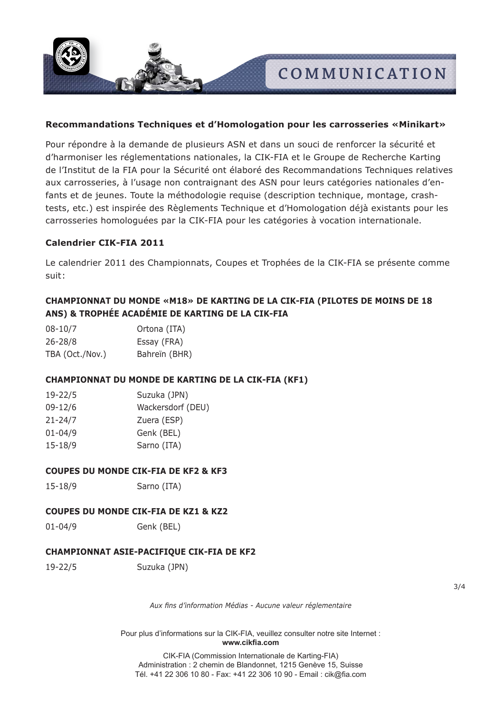**COMMUNICATION**

# **Recommandations Techniques et d'Homologation pour les carrosseries «Minikart»**

Pour répondre à la demande de plusieurs ASN et dans un souci de renforcer la sécurité et d'harmoniser les réglementations nationales, la CIK-FIA et le Groupe de Recherche Karting de l'Institut de la FIA pour la Sécurité ont élaboré des Recommandations Techniques relatives aux carrosseries, à l'usage non contraignant des ASN pour leurs catégories nationales d'enfants et de jeunes. Toute la méthodologie requise (description technique, montage, crashtests, etc.) est inspirée des Règlements Technique et d'Homologation déjà existants pour les carrosseries homologuées par la CIK-FIA pour les catégories à vocation internationale.

#### **Calendrier CIK-FIA 2011**

Le calendrier 2011 des Championnats, Coupes et Trophées de la CIK-FIA se présente comme suit:

# **CHAMPIONNAT DU MONDE «M18» DE KARTING DE LA CIK-FIA (PILOTES DE MOINS DE 18 ANS) & TROPHÉE ACADÉMIE DE KARTING DE LA CIK-FIA**

| $08 - 10/7$     | Ortona (ITA)  |
|-----------------|---------------|
| $26 - 28/8$     | Essay (FRA)   |
| TBA (Oct./Nov.) | Bahreïn (BHR) |

# **CHAMPIONNAT DU MONDE DE KARTING DE LA CIK-FIA (KF1)**

| $19 - 22/5$ | Suzuka (JPN)      |
|-------------|-------------------|
| $09 - 12/6$ | Wackersdorf (DEU) |
| $21 - 24/7$ | Zuera (ESP)       |
| $01 - 04/9$ | Genk (BEL)        |
| $15 - 18/9$ | Sarno (ITA)       |
|             |                   |

## **COUPES DU MONDE CIK-FIA DE KF2 & KF3**

15-18/9 Sarno (ITA)

## **COUPES DU MONDE CIK-FIA DE KZ1 & KZ2**

01-04/9 Genk (BEL)

## **CHAMPIONNAT ASIE-PACIFIQUE CIK-FIA DE KF2**

19-22/5 Suzuka (JPN)

3/4

*Aux fins d'information Médias - Aucune valeur réglementaire*

Pour plus d'informations sur la CIK-FIA, veuillez consulter notre site Internet : **www.cikfia.com**